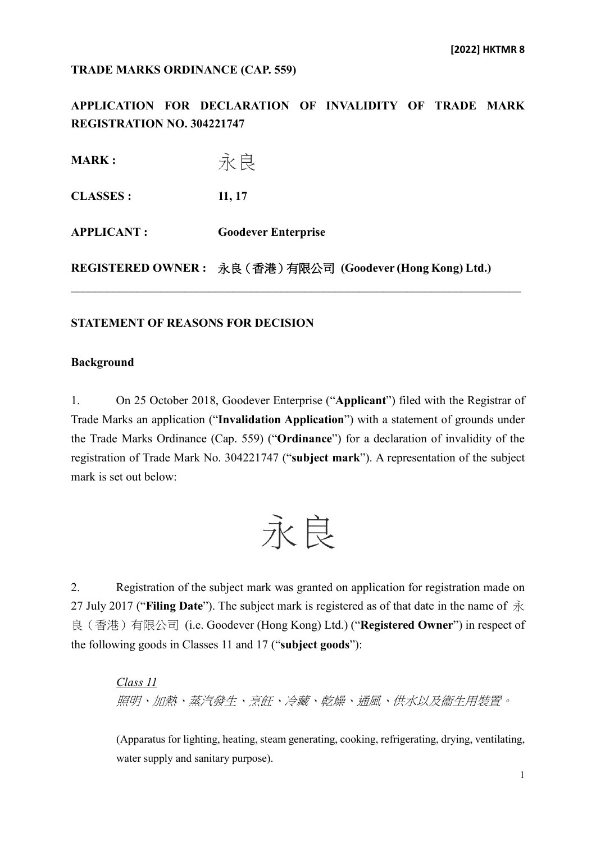#### **TRADE MARKS ORDINANCE (CAP. 559)**

**APPLICATION FOR DECLARATION OF INVALIDITY OF TRADE MARK REGISTRATION NO. 304221747**

永良 **MARK : CLASSES : 11, 17 APPLICANT : Goodever Enterprise REGISTERED OWNER :** 永良(香港)有限公司 **(Goodever (Hong Kong) Ltd.)**

#### **STATEMENT OF REASONS FOR DECISION**

#### **Background**

1. On 25 October 2018, Goodever Enterprise ("**Applicant**") filed with the Registrar of Trade Marks an application ("**Invalidation Application**") with a statement of grounds under the Trade Marks Ordinance (Cap. 559) ("**Ordinance**") for a declaration of invalidity of the registration of Trade Mark No. 304221747 ("**subject mark**"). A representation of the subject mark is set out below:

永良

2. Registration of the subject mark was granted on application for registration made on 27 July 2017 ("**Filing Date**"). The subject mark is registered as of that date in the name of 永 良(香港)有限公司 (i.e. Goodever (Hong Kong) Ltd.) ("**Registered Owner**") in respect of the following goods in Classes 11 and 17 ("**subject goods**"):

*Class 11* 照明、加熱、蒸汽發生、烹飪、冷藏、乾燥、通風、供水以及衞生用裝置。

(Apparatus for lighting, heating, steam generating, cooking, refrigerating, drying, ventilating, water supply and sanitary purpose).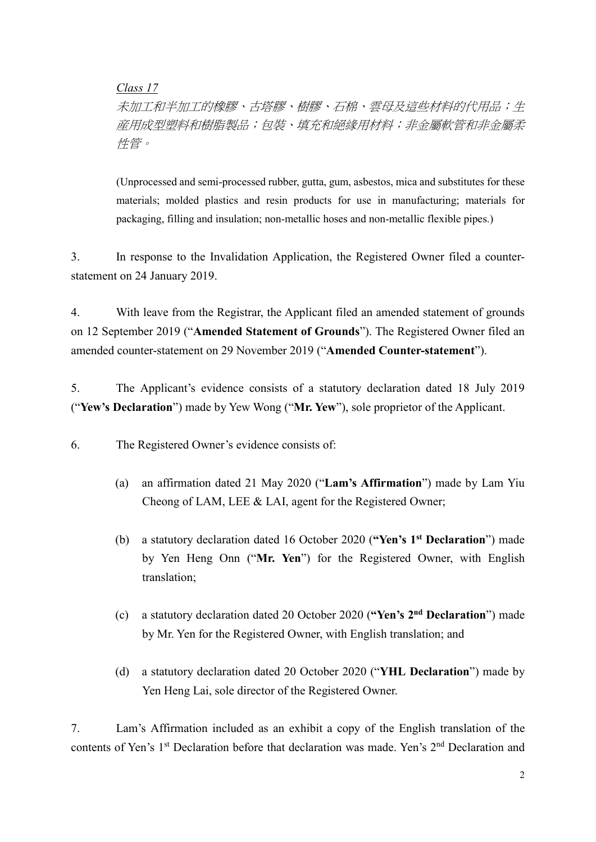*Class 17*

未加工和半加工的橡膠、古塔膠、樹膠、石棉、雲母及這些材料的代用品;生 産用成型塑料和樹脂製品;包裝、填充和絕緣用材料;非金屬軟管和非金屬柔 性管。

(Unprocessed and semi-processed rubber, gutta, gum, asbestos, mica and substitutes for these materials; molded plastics and resin products for use in manufacturing; materials for packaging, filling and insulation; non-metallic hoses and non-metallic flexible pipes.)

3. In response to the Invalidation Application, the Registered Owner filed a counterstatement on 24 January 2019.

4. With leave from the Registrar, the Applicant filed an amended statement of grounds on 12 September 2019 ("**Amended Statement of Grounds**"). The Registered Owner filed an amended counter-statement on 29 November 2019 ("**Amended Counter-statement**").

5. The Applicant's evidence consists of a statutory declaration dated 18 July 2019 ("**Yew's Declaration**") made by Yew Wong ("**Mr. Yew**"), sole proprietor of the Applicant.

6. The Registered Owner's evidence consists of:

- (a) an affirmation dated 21 May 2020 ("**Lam's Affirmation**") made by Lam Yiu Cheong of LAM, LEE & LAI, agent for the Registered Owner;
- (b) a statutory declaration dated 16 October 2020 (**"Yen's 1st Declaration**") made by Yen Heng Onn ("**Mr. Yen**") for the Registered Owner, with English translation;
- (c) a statutory declaration dated 20 October 2020 (**"Yen's 2nd Declaration**") made by Mr. Yen for the Registered Owner, with English translation; and
- (d) a statutory declaration dated 20 October 2020 ("**YHL Declaration**") made by Yen Heng Lai, sole director of the Registered Owner.

7. Lam's Affirmation included as an exhibit a copy of the English translation of the contents of Yen's 1<sup>st</sup> Declaration before that declaration was made. Yen's 2<sup>nd</sup> Declaration and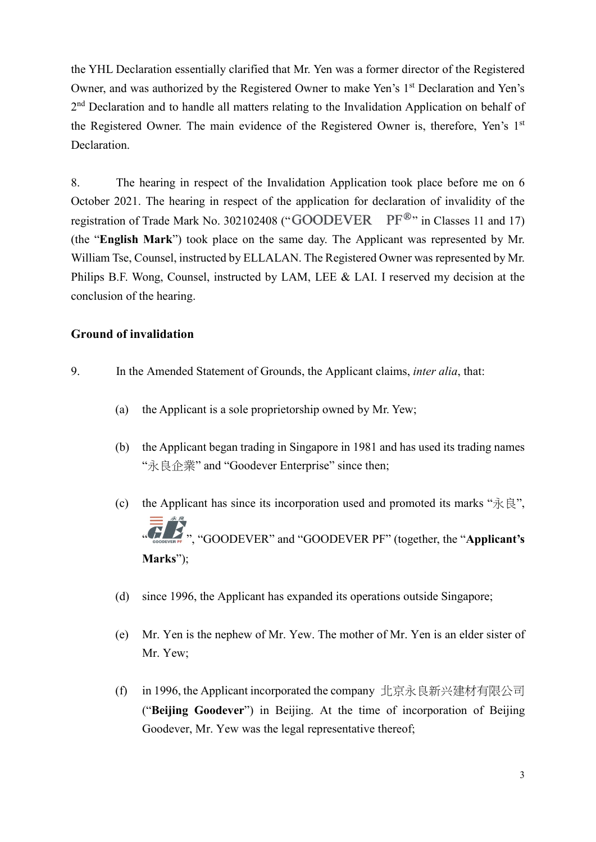the YHL Declaration essentially clarified that Mr. Yen was a former director of the Registered Owner, and was authorized by the Registered Owner to make Yen's 1<sup>st</sup> Declaration and Yen's 2<sup>nd</sup> Declaration and to handle all matters relating to the Invalidation Application on behalf of the Registered Owner. The main evidence of the Registered Owner is, therefore, Yen's 1<sup>st</sup> Declaration.

8. The hearing in respect of the Invalidation Application took place before me on 6 October 2021. The hearing in respect of the application for declaration of invalidity of the registration of Trade Mark No. 302102408 ("GOODEVER PF®" in Classes 11 and 17) (the "**English Mark**") took place on the same day. The Applicant was represented by Mr. William Tse, Counsel, instructed by ELLALAN. The Registered Owner was represented by Mr. Philips B.F. Wong, Counsel, instructed by LAM, LEE & LAI. I reserved my decision at the conclusion of the hearing.

### **Ground of invalidation**

- 9. In the Amended Statement of Grounds, the Applicant claims, *inter alia*, that:
	- (a) the Applicant is a sole proprietorship owned by Mr. Yew;
	- (b) the Applicant began trading in Singapore in 1981 and has used its trading names "永良企業" and "Goodever Enterprise" since then;
	- (c) the Applicant has since its incorporation used and promoted its marks " $\partial \vec{x} \in \mathbb{R}$ ". **The Coolection of the Second COODEVER PF**" (together, the "**Applicant's Marks**");
	- (d) since 1996, the Applicant has expanded its operations outside Singapore;
	- (e) Mr. Yen is the nephew of Mr. Yew. The mother of Mr. Yen is an elder sister of Mr. Yew;
	- (f) in 1996, the Applicant incorporated the company 北京永良新兴建材有限公司 ("**Beijing Goodever**") in Beijing. At the time of incorporation of Beijing Goodever, Mr. Yew was the legal representative thereof;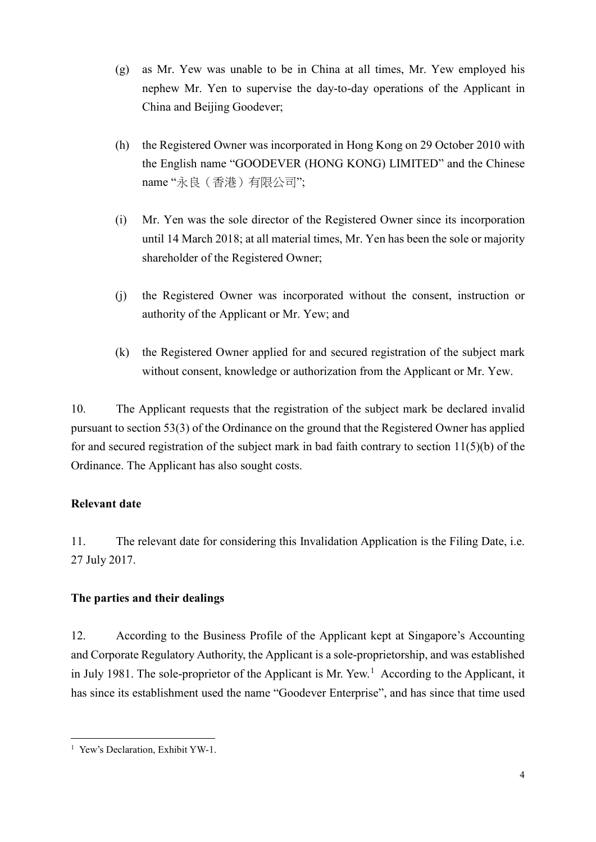- (g) as Mr. Yew was unable to be in China at all times, Mr. Yew employed his nephew Mr. Yen to supervise the day-to-day operations of the Applicant in China and Beijing Goodever;
- (h) the Registered Owner was incorporated in Hong Kong on 29 October 2010 with the English name "GOODEVER (HONG KONG) LIMITED" and the Chinese name "永良(香港)有限公司";
- (i) Mr. Yen was the sole director of the Registered Owner since its incorporation until 14 March 2018; at all material times, Mr. Yen has been the sole or majority shareholder of the Registered Owner;
- (j) the Registered Owner was incorporated without the consent, instruction or authority of the Applicant or Mr. Yew; and
- (k) the Registered Owner applied for and secured registration of the subject mark without consent, knowledge or authorization from the Applicant or Mr. Yew.

10. The Applicant requests that the registration of the subject mark be declared invalid pursuant to section 53(3) of the Ordinance on the ground that the Registered Owner has applied for and secured registration of the subject mark in bad faith contrary to section 11(5)(b) of the Ordinance. The Applicant has also sought costs.

## **Relevant date**

11. The relevant date for considering this Invalidation Application is the Filing Date, i.e. 27 July 2017.

# **The parties and their dealings**

12. According to the Business Profile of the Applicant kept at Singapore's Accounting and Corporate Regulatory Authority, the Applicant is a sole-proprietorship, and was established in July [1](#page-3-0)981. The sole-proprietor of the Applicant is Mr. Yew.<sup>1</sup> According to the Applicant, it has since its establishment used the name "Goodever Enterprise", and has since that time used

<span id="page-3-0"></span><sup>&</sup>lt;sup>1</sup> Yew's Declaration, Exhibit YW-1.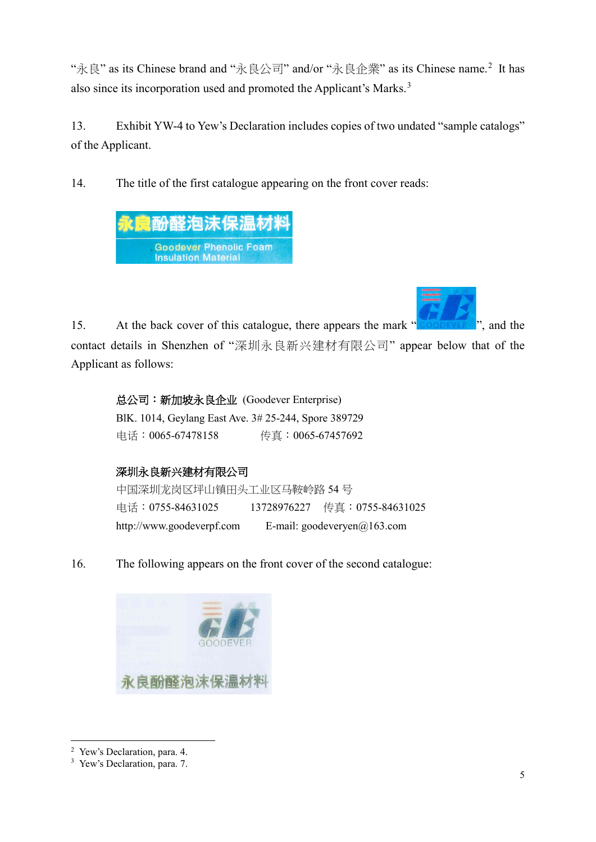"永良" as its Chinese brand and "永良公司" and/or "永良企業" as its Chinese name.[2](#page-4-0) It has also since its incorporation used and promoted the Applicant's Marks.<sup>[3](#page-4-1)</sup>

13. Exhibit YW-4 to Yew's Declaration includes copies of two undated "sample catalogs" of the Applicant.

14. The title of the first catalogue appearing on the front cover reads:



15. At the back cover of this catalogue, there appears the mark " ", and the contact details in Shenzhen of "深圳永良新兴建材有限公司" appear below that of the Applicant as follows:

总公司:新加坡永良企业 (Goodever Enterprise) BlK. 1014, Geylang East Ave. 3# 25-244, Spore 389729 电话:0065-67478158 传真:0065-67457692

# 深圳永良新兴建材有限公司

```
中国深圳龙岗区坪山镇田头工业区马鞍岭路 54 号
电话:0755-84631025 13728976227 传真:0755-84631025
http://www.goodeverpf.com E-mail: goodeveryen@163.com
```
16. The following appears on the front cover of the second catalogue:



 <sup>2</sup> Yew's Declaration, para. 4.

<span id="page-4-1"></span><span id="page-4-0"></span><sup>&</sup>lt;sup>3</sup> Yew's Declaration, para. 7.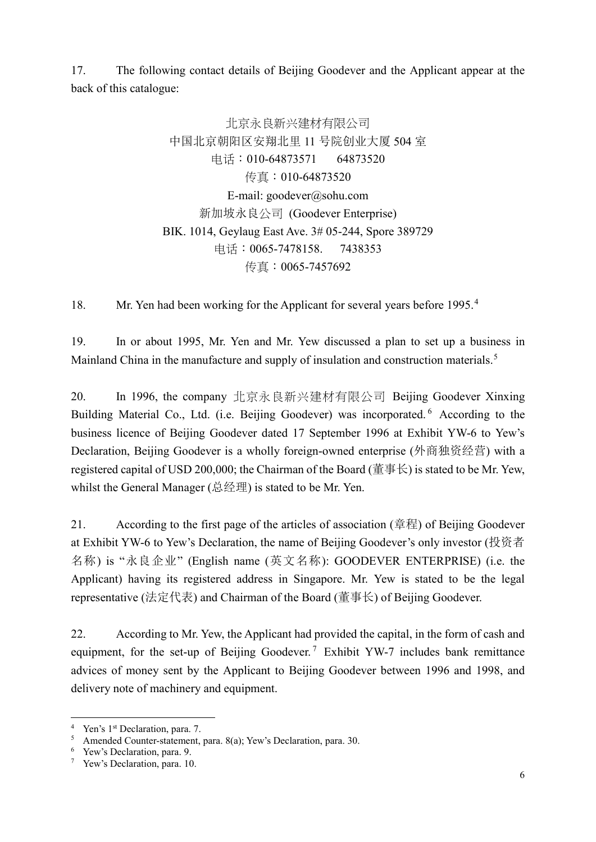17. The following contact details of Beijing Goodever and the Applicant appear at the back of this catalogue:

> 北京永良新兴建材有限公司 中国北京朝阳区安翔北里 11 号院创业大厦 504 室 电话:010-64873571 64873520 传真:010-64873520 E-mail: [goodever@sohu.com](mailto:goodever@sohu.com) 新加坡永良公司 (Goodever Enterprise) BIK. 1014, Geylaug East Ave. 3# 05-244, Spore 389729 电话:0065-7478158. 7438353 传真:0065-7457692

18. Mr. Yen had been working for the Applicant for several years before 1995.<sup>[4](#page-5-0)</sup>

19. In or about 1995, Mr. Yen and Mr. Yew discussed a plan to set up a business in Mainland China in the manufacture and supply of insulation and construction materials.<sup>[5](#page-5-1)</sup>

20. In 1996, the company 北京永良新兴建材有限公司 Beijing Goodever Xinxing Building Material Co., Ltd. (i.e. Beijing Goodever) was incorporated. <sup>[6](#page-5-2)</sup> According to the business licence of Beijing Goodever dated 17 September 1996 at Exhibit YW-6 to Yew's Declaration, Beijing Goodever is a wholly foreign-owned enterprise (外商独资经营) with a registered capital of USD 200,000; the Chairman of the Board (董事长) is stated to be Mr. Yew, whilst the General Manager (总经理) is stated to be Mr. Yen.

21. According to the first page of the articles of association (章程) of Beijing Goodever at Exhibit YW-6 to Yew's Declaration, the name of Beijing Goodever's only investor (投资者 名称) is "永良企业" (English name (英文名称): GOODEVER ENTERPRISE) (i.e. the Applicant) having its registered address in Singapore. Mr. Yew is stated to be the legal representative (法定代表) and Chairman of the Board (董事长) of Beijing Goodever.

22. According to Mr. Yew, the Applicant had provided the capital, in the form of cash and equipment, for the set-up of Beijing Goodever.<sup>[7](#page-5-3)</sup> Exhibit YW-7 includes bank remittance advices of money sent by the Applicant to Beijing Goodever between 1996 and 1998, and delivery note of machinery and equipment.

<sup>&</sup>lt;sup>4</sup> Yen's 1<sup>st</sup> Declaration, para. 7.

<span id="page-5-1"></span><span id="page-5-0"></span><sup>&</sup>lt;sup>5</sup> Amended Counter-statement, para. 8(a); Yew's Declaration, para. 30. <br><sup>6</sup> Yew's Declaration, para. 9.

<span id="page-5-2"></span>

<span id="page-5-3"></span><sup>7</sup> Yew's Declaration, para. 10.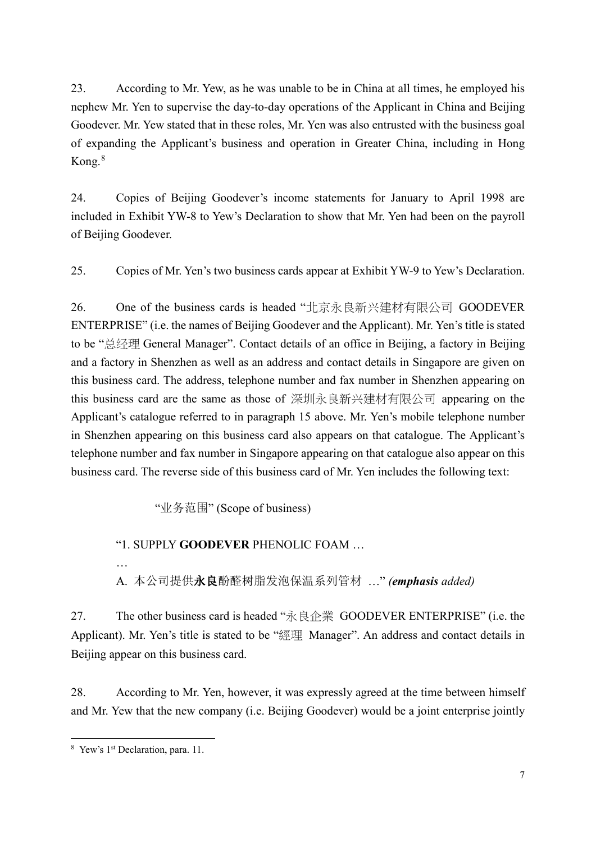23. According to Mr. Yew, as he was unable to be in China at all times, he employed his nephew Mr. Yen to supervise the day-to-day operations of the Applicant in China and Beijing Goodever. Mr. Yew stated that in these roles, Mr. Yen was also entrusted with the business goal of expanding the Applicant's business and operation in Greater China, including in Hong Kong.[8](#page-6-0)

24. Copies of Beijing Goodever's income statements for January to April 1998 are included in Exhibit YW-8 to Yew's Declaration to show that Mr. Yen had been on the payroll of Beijing Goodever.

25. Copies of Mr. Yen's two business cards appear at Exhibit YW-9 to Yew's Declaration.

26. One of the business cards is headed "北京永良新兴建材有限公司 GOODEVER ENTERPRISE" (i.e. the names of Beijing Goodever and the Applicant). Mr. Yen's title is stated to be "总经理 General Manager". Contact details of an office in Beijing, a factory in Beijing and a factory in Shenzhen as well as an address and contact details in Singapore are given on this business card. The address, telephone number and fax number in Shenzhen appearing on this business card are the same as those of 深圳永良新兴建材有限公司 appearing on the Applicant's catalogue referred to in paragraph 15 above. Mr. Yen's mobile telephone number in Shenzhen appearing on this business card also appears on that catalogue. The Applicant's telephone number and fax number in Singapore appearing on that catalogue also appear on this business card. The reverse side of this business card of Mr. Yen includes the following text:

"业务范围" (Scope of business)

## "1. SUPPLY **GOODEVER** PHENOLIC FOAM …

… A. 本公司提供永良酚醛树脂发泡保温系列管材 …" *(emphasis added)*

27. The other business card is headed "永良企業 GOODEVER ENTERPRISE" (i.e. the Applicant). Mr. Yen's title is stated to be "經理 Manager". An address and contact details in Beijing appear on this business card.

28. According to Mr. Yen, however, it was expressly agreed at the time between himself and Mr. Yew that the new company (i.e. Beijing Goodever) would be a joint enterprise jointly

<span id="page-6-0"></span> <sup>8</sup> Yew's 1st Declaration, para. 11.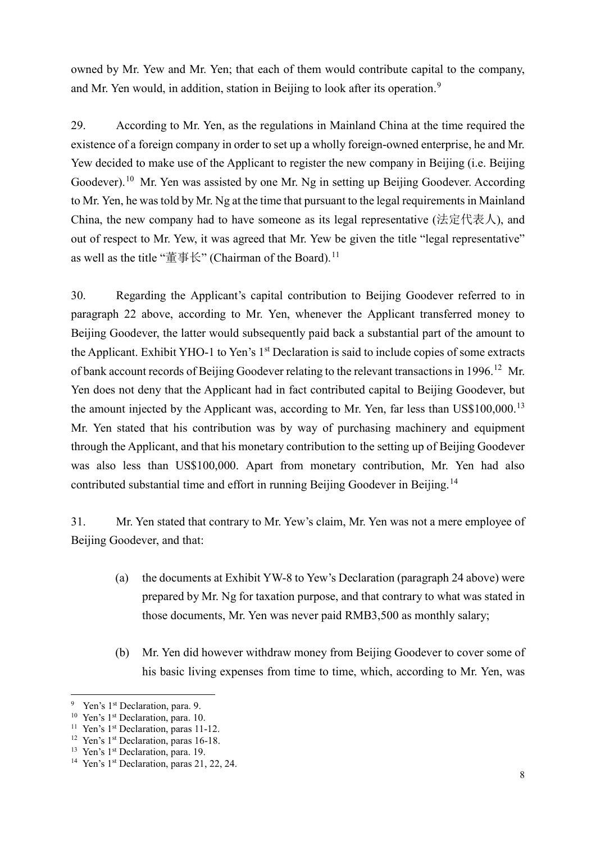owned by Mr. Yew and Mr. Yen; that each of them would contribute capital to the company, and Mr. Yen would, in addition, station in Beijing to look after its operation.<sup>[9](#page-7-0)</sup>

29. According to Mr. Yen, as the regulations in Mainland China at the time required the existence of a foreign company in order to set up a wholly foreign-owned enterprise, he and Mr. Yew decided to make use of the Applicant to register the new company in Beijing (i.e. Beijing Goodever).<sup>[10](#page-7-1)</sup> Mr. Yen was assisted by one Mr. Ng in setting up Beijing Goodever. According to Mr. Yen, he was told by Mr. Ng at the time that pursuant to the legal requirements in Mainland China, the new company had to have someone as its legal representative (法定代表人), and out of respect to Mr. Yew, it was agreed that Mr. Yew be given the title "legal representative" as well as the title "董事长" (Chairman of the Board).<sup>[11](#page-7-2)</sup>

30. Regarding the Applicant's capital contribution to Beijing Goodever referred to in paragraph 22 above, according to Mr. Yen, whenever the Applicant transferred money to Beijing Goodever, the latter would subsequently paid back a substantial part of the amount to the Applicant. Exhibit YHO-1 to Yen's 1<sup>st</sup> Declaration is said to include copies of some extracts of bank account records of Beijing Goodever relating to the relevant transactions in 1996.<sup>[12](#page-7-3)</sup> Mr. Yen does not deny that the Applicant had in fact contributed capital to Beijing Goodever, but the amount injected by the Applicant was, according to Mr. Yen, far less than US\$100,000.<sup>[13](#page-7-4)</sup> Mr. Yen stated that his contribution was by way of purchasing machinery and equipment through the Applicant, and that his monetary contribution to the setting up of Beijing Goodever was also less than US\$100,000. Apart from monetary contribution, Mr. Yen had also contributed substantial time and effort in running Beijing Goodever in Beijing.<sup>[14](#page-7-5)</sup>

31. Mr. Yen stated that contrary to Mr. Yew's claim, Mr. Yen was not a mere employee of Beijing Goodever, and that:

- (a) the documents at Exhibit YW-8 to Yew's Declaration (paragraph 24 above) were prepared by Mr. Ng for taxation purpose, and that contrary to what was stated in those documents, Mr. Yen was never paid RMB3,500 as monthly salary;
- (b) Mr. Yen did however withdraw money from Beijing Goodever to cover some of his basic living expenses from time to time, which, according to Mr. Yen, was

<span id="page-7-0"></span><sup>&</sup>lt;sup>9</sup> Yen's 1<sup>st</sup> Declaration, para. 9.

<span id="page-7-1"></span><sup>&</sup>lt;sup>10</sup> Yen's 1<sup>st</sup> Declaration, para. 10.

<span id="page-7-2"></span><sup>&</sup>lt;sup>11</sup> Yen's 1<sup>st</sup> Declaration, paras 11-12.

<span id="page-7-3"></span><sup>&</sup>lt;sup>12</sup> Yen's 1<sup>st</sup> Declaration, paras 16-18.

<span id="page-7-4"></span><sup>&</sup>lt;sup>13</sup> Yen's 1<sup>st</sup> Declaration, para. 19.

<span id="page-7-5"></span><sup>&</sup>lt;sup>14</sup> Yen's  $1<sup>st</sup>$  Declaration, paras 21, 22, 24.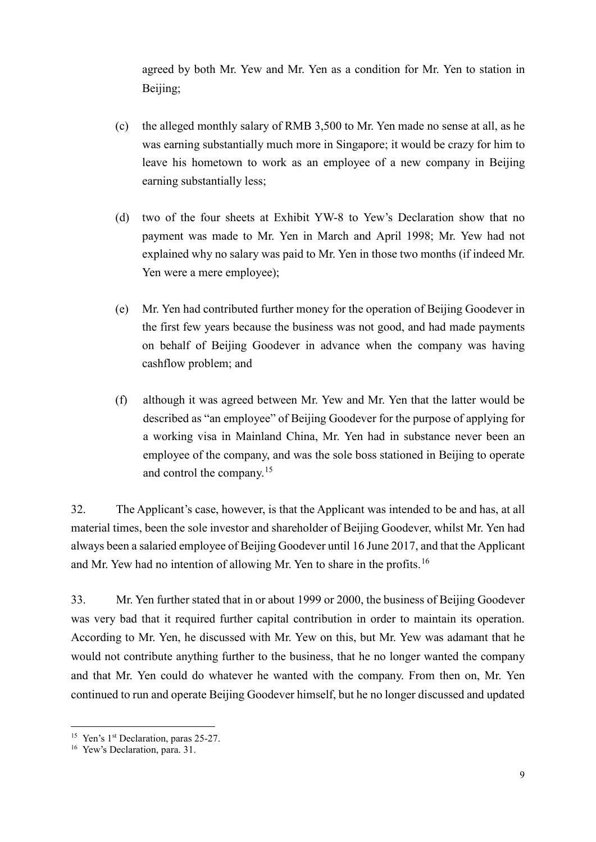agreed by both Mr. Yew and Mr. Yen as a condition for Mr. Yen to station in Beijing;

- (c) the alleged monthly salary of RMB 3,500 to Mr. Yen made no sense at all, as he was earning substantially much more in Singapore; it would be crazy for him to leave his hometown to work as an employee of a new company in Beijing earning substantially less;
- (d) two of the four sheets at Exhibit YW-8 to Yew's Declaration show that no payment was made to Mr. Yen in March and April 1998; Mr. Yew had not explained why no salary was paid to Mr. Yen in those two months (if indeed Mr. Yen were a mere employee);
- (e) Mr. Yen had contributed further money for the operation of Beijing Goodever in the first few years because the business was not good, and had made payments on behalf of Beijing Goodever in advance when the company was having cashflow problem; and
- (f) although it was agreed between Mr. Yew and Mr. Yen that the latter would be described as "an employee" of Beijing Goodever for the purpose of applying for a working visa in Mainland China, Mr. Yen had in substance never been an employee of the company, and was the sole boss stationed in Beijing to operate and control the company.[15](#page-8-0)

32. The Applicant's case, however, is that the Applicant was intended to be and has, at all material times, been the sole investor and shareholder of Beijing Goodever, whilst Mr. Yen had always been a salaried employee of Beijing Goodever until 16 June 2017, and that the Applicant and Mr. Yew had no intention of allowing Mr. Yen to share in the profits.<sup>[16](#page-8-1)</sup>

33. Mr. Yen further stated that in or about 1999 or 2000, the business of Beijing Goodever was very bad that it required further capital contribution in order to maintain its operation. According to Mr. Yen, he discussed with Mr. Yew on this, but Mr. Yew was adamant that he would not contribute anything further to the business, that he no longer wanted the company and that Mr. Yen could do whatever he wanted with the company. From then on, Mr. Yen continued to run and operate Beijing Goodever himself, but he no longer discussed and updated

<span id="page-8-1"></span><span id="page-8-0"></span><sup>&</sup>lt;sup>15</sup> Yen's 1<sup>st</sup> Declaration, paras 25-27.<br><sup>16</sup> Yew's Declaration, para. 31.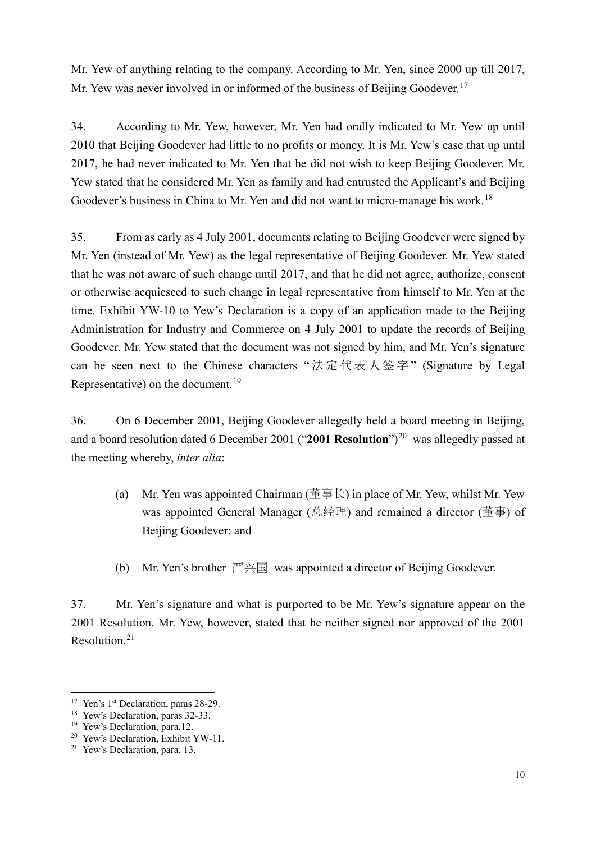Mr. Yew of anything relating to the company. According to Mr. Yen, since 2000 up till 2017, Mr. Yew was never involved in or informed of the business of Beijing Goodever.<sup>[17](#page-9-0)</sup>

34. According to Mr. Yew, however, Mr. Yen had orally indicated to Mr. Yew up until 2010 that Beijing Goodever had little to no profits or money. It is Mr. Yew's case that up until 2017, he had never indicated to Mr. Yen that he did not wish to keep Beijing Goodever. Mr. Yew stated that he considered Mr. Yen as family and had entrusted the Applicant's and Beijing Goodever's business in China to Mr. Yen and did not want to micro-manage his work.<sup>[18](#page-9-1)</sup>

35. From as early as 4 July 2001, documents relating to Beijing Goodever were signed by Mr. Yen (instead of Mr. Yew) as the legal representative of Beijing Goodever. Mr. Yew stated that he was not aware of such change until 2017, and that he did not agree, authorize, consent or otherwise acquiesced to such change in legal representative from himself to Mr. Yen at the time. Exhibit YW-10 to Yew's Declaration is a copy of an application made to the Beijing Administration for Industry and Commerce on 4 July 2001 to update the records of Beijing Goodever. Mr. Yew stated that the document was not signed by him, and Mr. Yen's signature can be seen next to the Chinese characters "法定代表人签字" (Signature by Legal Representative) on the document.<sup>[19](#page-9-2)</sup>

36. On 6 December 2001, Beijing Goodever allegedly held a board meeting in Beijing, and a board resolution dated 6 December [20](#page-9-3)01 ("2001 Resolution")<sup>20</sup> was allegedly passed at the meeting whereby, *inter alia*:

- (a) Mr. Yen was appointed Chairman (董事长) in place of Mr. Yew, whilst Mr. Yew was appointed General Manager (总经理) and remained a director (董事) of Beijing Goodever; and
- (b) Mr. Yen's brother  $\mathbb{P}^{\mathbb{Z}} \times \mathbb{E}$  was appointed a director of Beijing Goodever.

37. Mr. Yen's signature and what is purported to be Mr. Yew's signature appear on the 2001 Resolution. Mr. Yew, however, stated that he neither signed nor approved of the 2001 Resolution.[21](#page-9-4)

<span id="page-9-0"></span><sup>&</sup>lt;sup>17</sup> Yen's 1<sup>st</sup> Declaration, paras 28-29.

<span id="page-9-1"></span><sup>&</sup>lt;sup>18</sup> Yew's Declaration, paras 32-33.

<span id="page-9-2"></span><sup>&</sup>lt;sup>19</sup> Yew's Declaration, para.12.

<span id="page-9-3"></span><sup>&</sup>lt;sup>20</sup> Yew's Declaration, Exhibit YW-11.

<span id="page-9-4"></span><sup>21</sup> Yew's Declaration, para. 13.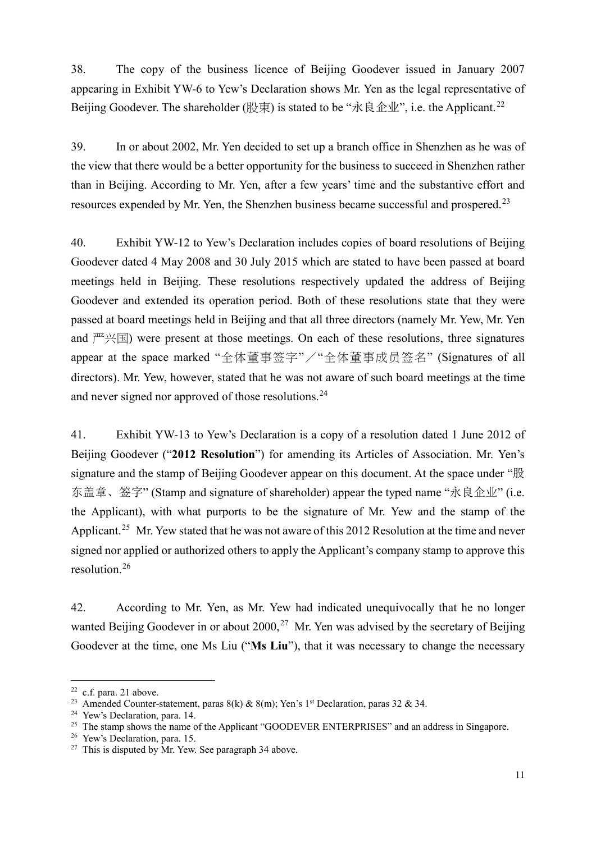38. The copy of the business licence of Beijing Goodever issued in January 2007 appearing in Exhibit YW-6 to Yew's Declaration shows Mr. Yen as the legal representative of Beijing Goodever. The shareholder (股東) is stated to be "永良企业", i.e. the Applicant.<sup>[22](#page-10-0)</sup>

39. In or about 2002, Mr. Yen decided to set up a branch office in Shenzhen as he was of the view that there would be a better opportunity for the business to succeed in Shenzhen rather than in Beijing. According to Mr. Yen, after a few years' time and the substantive effort and resources expended by Mr. Yen, the Shenzhen business became successful and prospered.[23](#page-10-1)

40. Exhibit YW-12 to Yew's Declaration includes copies of board resolutions of Beijing Goodever dated 4 May 2008 and 30 July 2015 which are stated to have been passed at board meetings held in Beijing. These resolutions respectively updated the address of Beijing Goodever and extended its operation period. Both of these resolutions state that they were passed at board meetings held in Beijing and that all three directors (namely Mr. Yew, Mr. Yen and  $\mathbb{P}(\mathbb{H})$  were present at those meetings. On each of these resolutions, three signatures appear at the space marked "全体董事签字"/"全体董事成员签名" (Signatures of all directors). Mr. Yew, however, stated that he was not aware of such board meetings at the time and never signed nor approved of those resolutions.<sup>[24](#page-10-2)</sup>

41. Exhibit YW-13 to Yew's Declaration is a copy of a resolution dated 1 June 2012 of Beijing Goodever ("**2012 Resolution**") for amending its Articles of Association. Mr. Yen's signature and the stamp of Beijing Goodever appear on this document. At the space under "股 东盖章、签字" (Stamp and signature of shareholder) appear the typed name "永良企业" (i.e. the Applicant), with what purports to be the signature of Mr. Yew and the stamp of the Applicant.<sup>[25](#page-10-3)</sup> Mr. Yew stated that he was not aware of this 2012 Resolution at the time and never signed nor applied or authorized others to apply the Applicant's company stamp to approve this resolution.[26](#page-10-4)

42. According to Mr. Yen, as Mr. Yew had indicated unequivocally that he no longer wanted Beijing Goodever in or about  $2000$ ,  $27$  Mr. Yen was advised by the secretary of Beijing Goodever at the time, one Ms Liu ("**Ms Liu**"), that it was necessary to change the necessary

<span id="page-10-0"></span> <sup>22</sup> c.f. para. 21 above.

<span id="page-10-1"></span><sup>&</sup>lt;sup>23</sup> Amended Counter-statement, paras 8(k) & 8(m); Yen's 1<sup>st</sup> Declaration, paras 32 & 34.

<span id="page-10-2"></span><sup>24</sup> Yew's Declaration, para. 14.

<span id="page-10-3"></span><sup>&</sup>lt;sup>25</sup> The stamp shows the name of the Applicant "GOODEVER ENTERPRISES" and an address in Singapore.

<span id="page-10-4"></span><sup>&</sup>lt;sup>26</sup> Yew's Declaration, para. 15.

<span id="page-10-5"></span> $27$  This is disputed by Mr. Yew. See paragraph 34 above.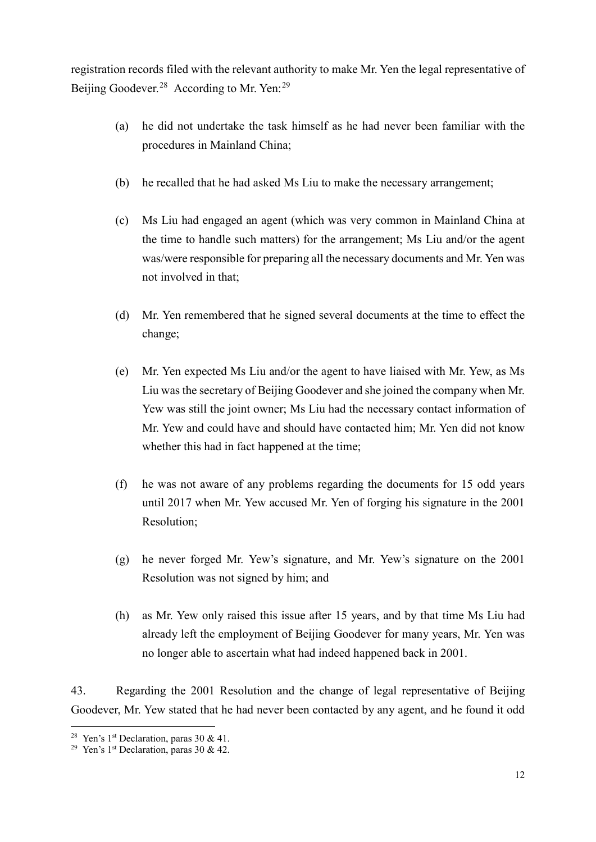registration records filed with the relevant authority to make Mr. Yen the legal representative of Beijing Goodever.<sup>[28](#page-11-0)</sup> According to Mr. Yen:<sup>[29](#page-11-1)</sup>

- (a) he did not undertake the task himself as he had never been familiar with the procedures in Mainland China;
- (b) he recalled that he had asked Ms Liu to make the necessary arrangement;
- (c) Ms Liu had engaged an agent (which was very common in Mainland China at the time to handle such matters) for the arrangement; Ms Liu and/or the agent was/were responsible for preparing all the necessary documents and Mr. Yen was not involved in that;
- (d) Mr. Yen remembered that he signed several documents at the time to effect the change;
- (e) Mr. Yen expected Ms Liu and/or the agent to have liaised with Mr. Yew, as Ms Liu was the secretary of Beijing Goodever and she joined the company when Mr. Yew was still the joint owner; Ms Liu had the necessary contact information of Mr. Yew and could have and should have contacted him; Mr. Yen did not know whether this had in fact happened at the time;
- (f) he was not aware of any problems regarding the documents for 15 odd years until 2017 when Mr. Yew accused Mr. Yen of forging his signature in the 2001 Resolution;
- (g) he never forged Mr. Yew's signature, and Mr. Yew's signature on the 2001 Resolution was not signed by him; and
- (h) as Mr. Yew only raised this issue after 15 years, and by that time Ms Liu had already left the employment of Beijing Goodever for many years, Mr. Yen was no longer able to ascertain what had indeed happened back in 2001.

43. Regarding the 2001 Resolution and the change of legal representative of Beijing Goodever, Mr. Yew stated that he had never been contacted by any agent, and he found it odd

<sup>&</sup>lt;sup>28</sup> Yen's 1<sup>st</sup> Declaration, paras 30 & 41.

<span id="page-11-1"></span><span id="page-11-0"></span><sup>&</sup>lt;sup>29</sup> Yen's 1<sup>st</sup> Declaration, paras 30 & 42.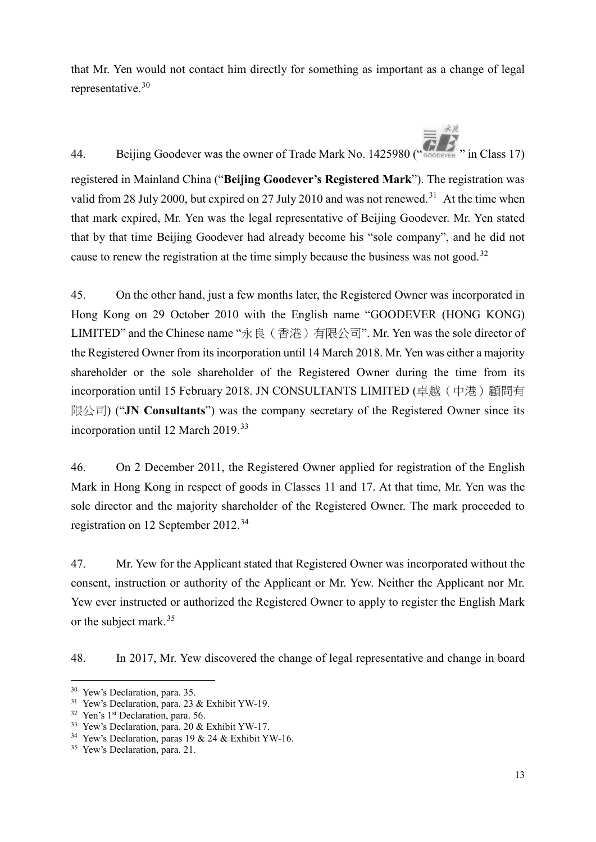that Mr. Yen would not contact him directly for something as important as a change of legal representative. [30](#page-12-0)

44. Beijing Goodever was the owner of Trade Mark No. 1425980 (" CODEVER " in Class 17)

registered in Mainland China ("**Beijing Goodever's Registered Mark**"). The registration was valid from 28 July 2000, but expired on 27 July 2010 and was not renewed.<sup>[31](#page-12-1)</sup> At the time when that mark expired, Mr. Yen was the legal representative of Beijing Goodever. Mr. Yen stated that by that time Beijing Goodever had already become his "sole company", and he did not cause to renew the registration at the time simply because the business was not good.<sup>[32](#page-12-2)</sup>

45. On the other hand, just a few months later, the Registered Owner was incorporated in Hong Kong on 29 October 2010 with the English name "GOODEVER (HONG KONG) LIMITED" and the Chinese name "永良(香港)有限公司". Mr. Yen was the sole director of the Registered Owner from its incorporation until 14 March 2018. Mr. Yen was either a majority shareholder or the sole shareholder of the Registered Owner during the time from its incorporation until 15 February 2018. JN CONSULTANTS LIMITED (卓越(中港)顧問有 限公司) ("**JN Consultants**") was the company secretary of the Registered Owner since its incorporation until 12 March 2019.<sup>[33](#page-12-3)</sup>

46. On 2 December 2011, the Registered Owner applied for registration of the English Mark in Hong Kong in respect of goods in Classes 11 and 17. At that time, Mr. Yen was the sole director and the majority shareholder of the Registered Owner. The mark proceeded to registration on 12 September 2012.[34](#page-12-4)

47. Mr. Yew for the Applicant stated that Registered Owner was incorporated without the consent, instruction or authority of the Applicant or Mr. Yew. Neither the Applicant nor Mr. Yew ever instructed or authorized the Registered Owner to apply to register the English Mark or the subject mark.<sup>[35](#page-12-5)</sup>

48. In 2017, Mr. Yew discovered the change of legal representative and change in board

<span id="page-12-0"></span> <sup>30</sup> Yew's Declaration, para. 35.

<span id="page-12-1"></span><sup>31</sup> Yew's Declaration, para. 23 & Exhibit YW-19.

<span id="page-12-2"></span><sup>&</sup>lt;sup>32</sup> Yen's 1<sup>st</sup> Declaration, para. 56.

<span id="page-12-3"></span><sup>33</sup> Yew's Declaration, para. 20 & Exhibit YW-17.

<span id="page-12-4"></span><sup>&</sup>lt;sup>34</sup> Yew's Declaration, paras 19 & 24 & Exhibit YW-16.

<span id="page-12-5"></span><sup>&</sup>lt;sup>35</sup> Yew's Declaration, para. 21.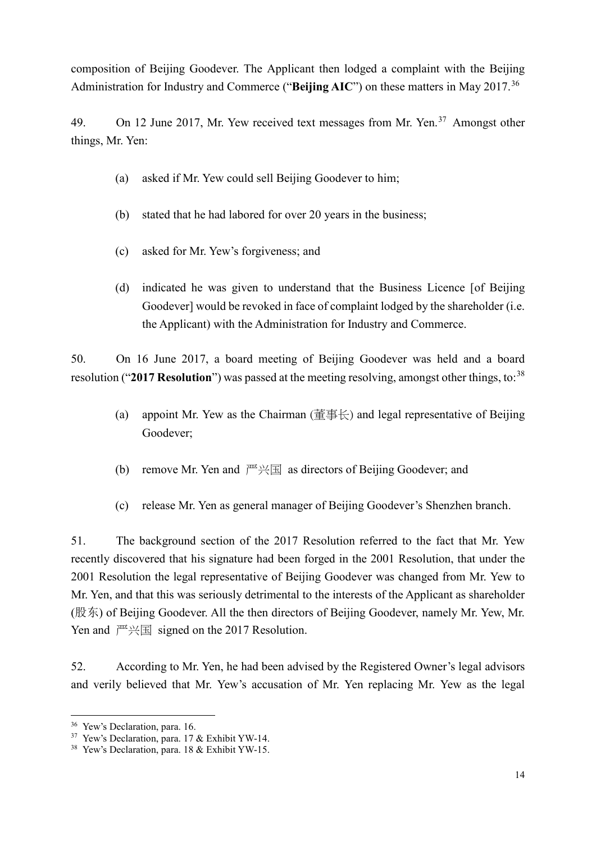composition of Beijing Goodever. The Applicant then lodged a complaint with the Beijing Administration for Industry and Commerce ("**Beijing AIC**") on these matters in May 2017.[36](#page-13-0)

49. On 12 June 2017, Mr. Yew received text messages from Mr. Yen.<sup>[37](#page-13-1)</sup> Amongst other things, Mr. Yen:

- (a) asked if Mr. Yew could sell Beijing Goodever to him;
- (b) stated that he had labored for over 20 years in the business;
- (c) asked for Mr. Yew's forgiveness; and
- (d) indicated he was given to understand that the Business Licence [of Beijing Goodever] would be revoked in face of complaint lodged by the shareholder (i.e. the Applicant) with the Administration for Industry and Commerce.

50. On 16 June 2017, a board meeting of Beijing Goodever was held and a board resolution ("2017 Resolution") was passed at the meeting resolving, amongst other things, to:<sup>[38](#page-13-2)</sup>

- (a) appoint Mr. Yew as the Chairman (董事长) and legal representative of Beijing Goodever;
- (b) remove Mr. Yen and  $\mathbb{P} \times \mathbb{E}$  as directors of Beijing Goodever; and
- (c) release Mr. Yen as general manager of Beijing Goodever's Shenzhen branch.

51. The background section of the 2017 Resolution referred to the fact that Mr. Yew recently discovered that his signature had been forged in the 2001 Resolution, that under the 2001 Resolution the legal representative of Beijing Goodever was changed from Mr. Yew to Mr. Yen, and that this was seriously detrimental to the interests of the Applicant as shareholder (股东) of Beijing Goodever. All the then directors of Beijing Goodever, namely Mr. Yew, Mr. Yen and  $\lim_{n \to \infty}$  signed on the 2017 Resolution.

52. According to Mr. Yen, he had been advised by the Registered Owner's legal advisors and verily believed that Mr. Yew's accusation of Mr. Yen replacing Mr. Yew as the legal

<span id="page-13-0"></span><sup>&</sup>lt;sup>36</sup> Yew's Declaration, para. 16.

<span id="page-13-1"></span><sup>37</sup> Yew's Declaration, para. 17 & Exhibit YW-14.

<span id="page-13-2"></span><sup>38</sup> Yew's Declaration, para. 18 & Exhibit YW-15.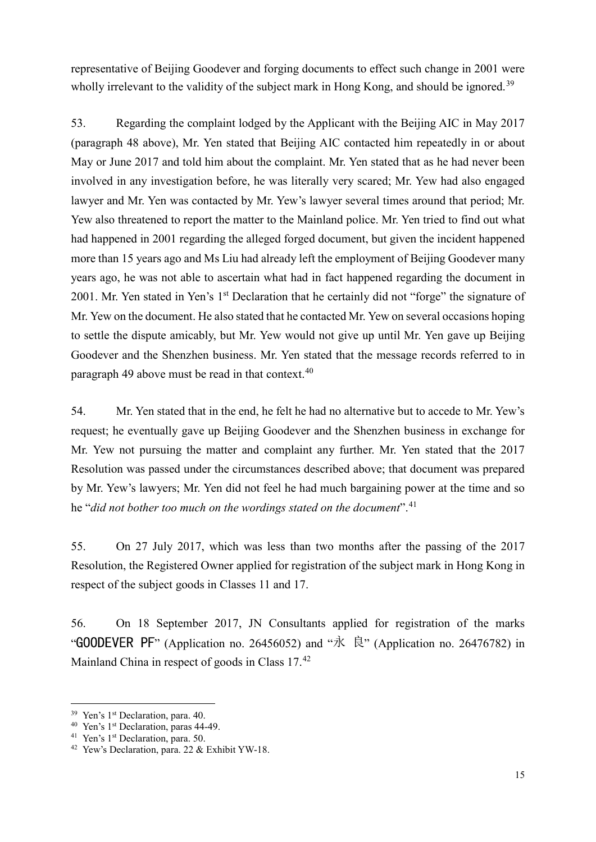representative of Beijing Goodever and forging documents to effect such change in 2001 were wholly irrelevant to the validity of the subject mark in Hong Kong, and should be ignored.<sup>[39](#page-14-0)</sup>

53. Regarding the complaint lodged by the Applicant with the Beijing AIC in May 2017 (paragraph 48 above), Mr. Yen stated that Beijing AIC contacted him repeatedly in or about May or June 2017 and told him about the complaint. Mr. Yen stated that as he had never been involved in any investigation before, he was literally very scared; Mr. Yew had also engaged lawyer and Mr. Yen was contacted by Mr. Yew's lawyer several times around that period; Mr. Yew also threatened to report the matter to the Mainland police. Mr. Yen tried to find out what had happened in 2001 regarding the alleged forged document, but given the incident happened more than 15 years ago and Ms Liu had already left the employment of Beijing Goodever many years ago, he was not able to ascertain what had in fact happened regarding the document in 2001. Mr. Yen stated in Yen's 1<sup>st</sup> Declaration that he certainly did not "forge" the signature of Mr. Yew on the document. He also stated that he contacted Mr. Yew on several occasions hoping to settle the dispute amicably, but Mr. Yew would not give up until Mr. Yen gave up Beijing Goodever and the Shenzhen business. Mr. Yen stated that the message records referred to in paragraph 49 above must be read in that context.<sup>[40](#page-14-1)</sup>

54. Mr. Yen stated that in the end, he felt he had no alternative but to accede to Mr. Yew's request; he eventually gave up Beijing Goodever and the Shenzhen business in exchange for Mr. Yew not pursuing the matter and complaint any further. Mr. Yen stated that the 2017 Resolution was passed under the circumstances described above; that document was prepared by Mr. Yew's lawyers; Mr. Yen did not feel he had much bargaining power at the time and so he "*did not bother too much on the wordings stated on the document*". [41](#page-14-2)

55. On 27 July 2017, which was less than two months after the passing of the 2017 Resolution, the Registered Owner applied for registration of the subject mark in Hong Kong in respect of the subject goods in Classes 11 and 17.

56. On 18 September 2017, JN Consultants applied for registration of the marks " GOODEVER PF" (Application no. 26456052) and " $\mathcal{R}$ " (Application no. 26476782) in Mainland China in respect of goods in Class 17.<sup>[42](#page-14-3)</sup>

<span id="page-14-0"></span><sup>&</sup>lt;sup>39</sup> Yen's 1<sup>st</sup> Declaration, para. 40.

<span id="page-14-1"></span><sup>&</sup>lt;sup>40</sup> Yen's 1<sup>st</sup> Declaration, paras 44-49.

<span id="page-14-2"></span><sup>&</sup>lt;sup>41</sup> Yen's 1<sup>st</sup> Declaration, para. 50.

<span id="page-14-3"></span><sup>42</sup> Yew's Declaration, para. 22 & Exhibit YW-18.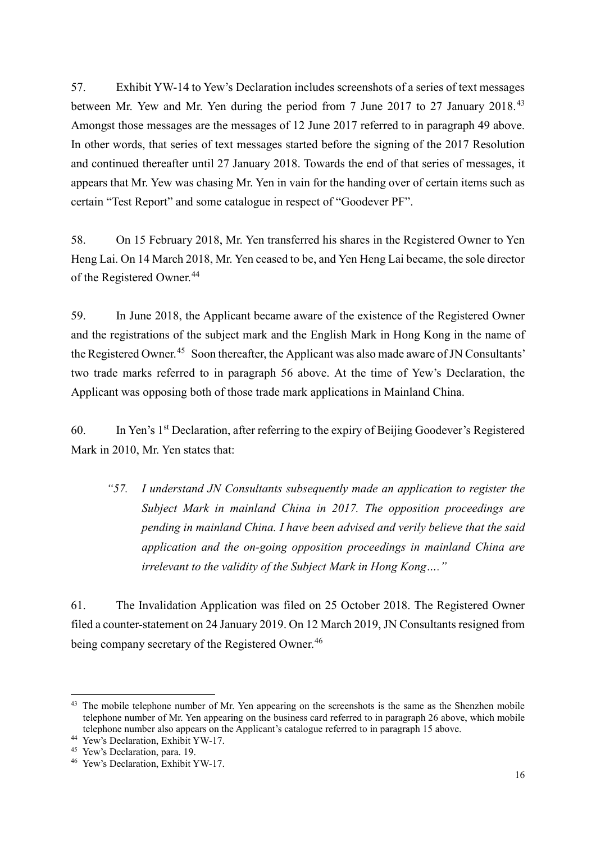57. Exhibit YW-14 to Yew's Declaration includes screenshots of a series of text messages between Mr. Yew and Mr. Yen during the period from 7 June 2017 to 27 January 2018.<sup>[43](#page-15-0)</sup> Amongst those messages are the messages of 12 June 2017 referred to in paragraph 49 above. In other words, that series of text messages started before the signing of the 2017 Resolution and continued thereafter until 27 January 2018. Towards the end of that series of messages, it appears that Mr. Yew was chasing Mr. Yen in vain for the handing over of certain items such as certain "Test Report" and some catalogue in respect of "Goodever PF".

58. On 15 February 2018, Mr. Yen transferred his shares in the Registered Owner to Yen Heng Lai. On 14 March 2018, Mr. Yen ceased to be, and Yen Heng Lai became, the sole director of the Registered Owner.<sup>[44](#page-15-1)</sup>

59. In June 2018, the Applicant became aware of the existence of the Registered Owner and the registrations of the subject mark and the English Mark in Hong Kong in the name of the Registered Owner.<sup>[45](#page-15-2)</sup> Soon thereafter, the Applicant was also made aware of JN Consultants' two trade marks referred to in paragraph 56 above. At the time of Yew's Declaration, the Applicant was opposing both of those trade mark applications in Mainland China.

60. In Yen's 1st Declaration, after referring to the expiry of Beijing Goodever's Registered Mark in 2010, Mr. Yen states that:

*"57. I understand JN Consultants subsequently made an application to register the Subject Mark in mainland China in 2017. The opposition proceedings are pending in mainland China. I have been advised and verily believe that the said application and the on-going opposition proceedings in mainland China are irrelevant to the validity of the Subject Mark in Hong Kong…."*

61. The Invalidation Application was filed on 25 October 2018. The Registered Owner filed a counter-statement on 24 January 2019. On 12 March 2019, JN Consultants resigned from being company secretary of the Registered Owner.<sup>[46](#page-15-3)</sup>

<span id="page-15-0"></span><sup>&</sup>lt;sup>43</sup> The mobile telephone number of Mr. Yen appearing on the screenshots is the same as the Shenzhen mobile telephone number of Mr. Yen appearing on the business card referred to in paragraph 26 above, which mobile telephone number also appears on the Applicant's catalogue referred to in paragraph 15 above.

<sup>&</sup>lt;sup>44</sup> Yew's Declaration, Exhibit YW-17.

<span id="page-15-2"></span><span id="page-15-1"></span><sup>45</sup> Yew's Declaration, para. 19.

<span id="page-15-3"></span><sup>46</sup> Yew's Declaration, Exhibit YW-17.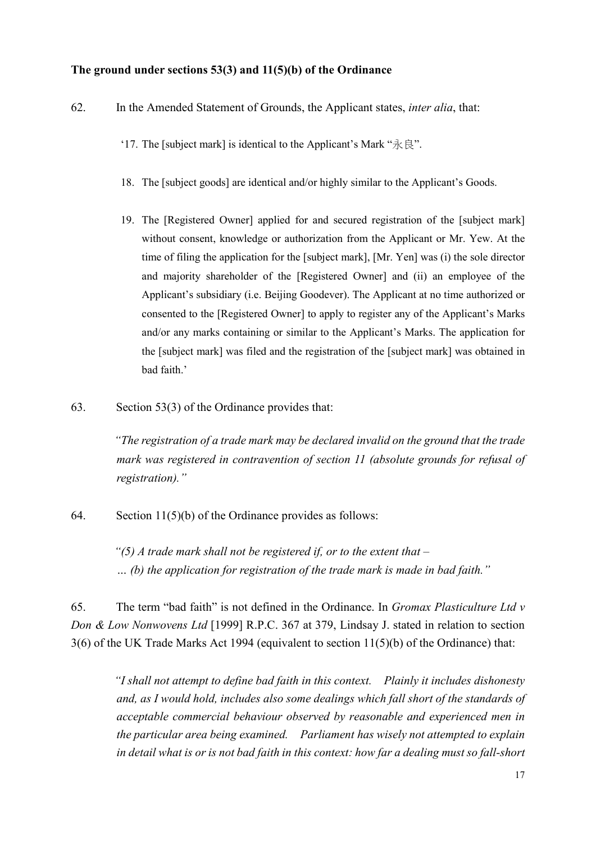## **The ground under sections 53(3) and 11(5)(b) of the Ordinance**

- 62. In the Amended Statement of Grounds, the Applicant states, *inter alia*, that:
	- '17. The [subject mark] is identical to the Applicant's Mark "永良".
	- 18. The [subject goods] are identical and/or highly similar to the Applicant's Goods.
	- 19. The [Registered Owner] applied for and secured registration of the [subject mark] without consent, knowledge or authorization from the Applicant or Mr. Yew. At the time of filing the application for the [subject mark], [Mr. Yen] was (i) the sole director and majority shareholder of the [Registered Owner] and (ii) an employee of the Applicant's subsidiary (i.e. Beijing Goodever). The Applicant at no time authorized or consented to the [Registered Owner] to apply to register any of the Applicant's Marks and/or any marks containing or similar to the Applicant's Marks. The application for the [subject mark] was filed and the registration of the [subject mark] was obtained in bad faith.'
- 63. Section 53(3) of the Ordinance provides that:

*"The registration of a trade mark may be declared invalid on the ground that the trade mark was registered in contravention of section 11 (absolute grounds for refusal of registration)."*

64. Section 11(5)(b) of the Ordinance provides as follows:

*"(5) A trade mark shall not be registered if, or to the extent that – … (b) the application for registration of the trade mark is made in bad faith."*

65. The term "bad faith" is not defined in the Ordinance. In *Gromax Plasticulture Ltd v Don & Low Nonwovens Ltd* [1999] R.P.C. 367 at 379, Lindsay J. stated in relation to section 3(6) of the UK Trade Marks Act 1994 (equivalent to section 11(5)(b) of the Ordinance) that:

*"I shall not attempt to define bad faith in this context. Plainly it includes dishonesty and, as I would hold, includes also some dealings which fall short of the standards of acceptable commercial behaviour observed by reasonable and experienced men in the particular area being examined. Parliament has wisely not attempted to explain*  in detail what is or is not bad faith in this context: how far a dealing must so fall-short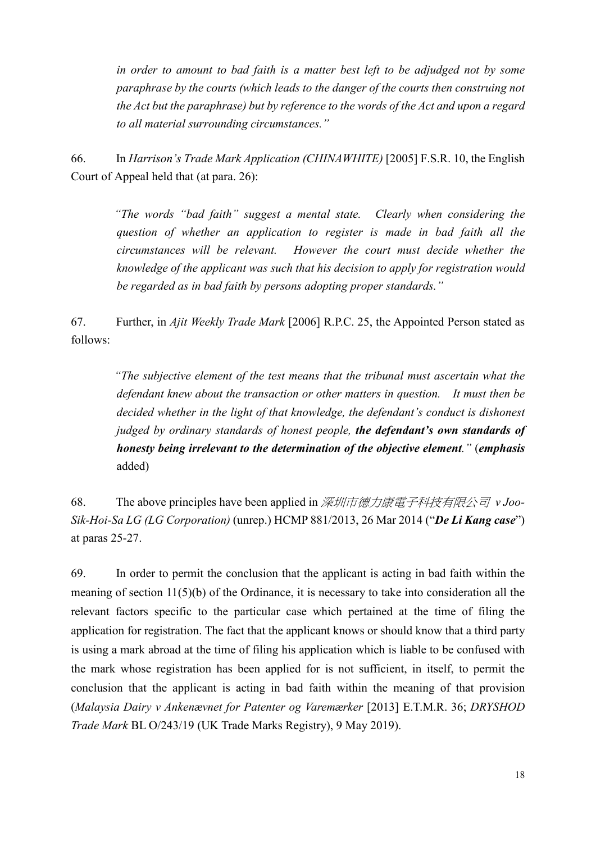*in order to amount to bad faith is a matter best left to be adjudged not by some paraphrase by the courts (which leads to the danger of the courts then construing not the Act but the paraphrase) but by reference to the words of the Act and upon a regard to all material surrounding circumstances."*

66. In *Harrison's Trade Mark Application (CHINAWHITE)* [2005] F.S.R. 10, the English Court of Appeal held that (at para. 26):

*"The words "bad faith" suggest a mental state. Clearly when considering the question of whether an application to register is made in bad faith all the circumstances will be relevant. However the court must decide whether the knowledge of the applicant was such that his decision to apply for registration would be regarded as in bad faith by persons adopting proper standards."*

67. Further, in *Ajit Weekly Trade Mark* [2006] R.P.C. 25, the Appointed Person stated as follows:

*"The subjective element of the test means that the tribunal must ascertain what the defendant knew about the transaction or other matters in question. It must then be decided whether in the light of that knowledge, the defendant's conduct is dishonest judged by ordinary standards of honest people, the defendant's own standards of honesty being irrelevant to the determination of the objective element."* (*emphasis* added)

68. The above principles have been applied in 深圳市德力康電子科技有限公司 *v Joo-Sik-Hoi-Sa LG (LG Corporation)* (unrep.) HCMP 881/2013, 26 Mar 2014 ("*De Li Kang case*") at paras 25-27.

69. In order to permit the conclusion that the applicant is acting in bad faith within the meaning of section 11(5)(b) of the Ordinance, it is necessary to take into consideration all the relevant factors specific to the particular case which pertained at the time of filing the application for registration. The fact that the applicant knows or should know that a third party is using a mark abroad at the time of filing his application which is liable to be confused with the mark whose registration has been applied for is not sufficient, in itself, to permit the conclusion that the applicant is acting in bad faith within the meaning of that provision (*Malaysia Dairy v Ankenævnet for Patenter og Varemærker* [2013] E.T.M.R. 36; *DRYSHOD Trade Mark* BL O/243/19 (UK Trade Marks Registry), 9 May 2019).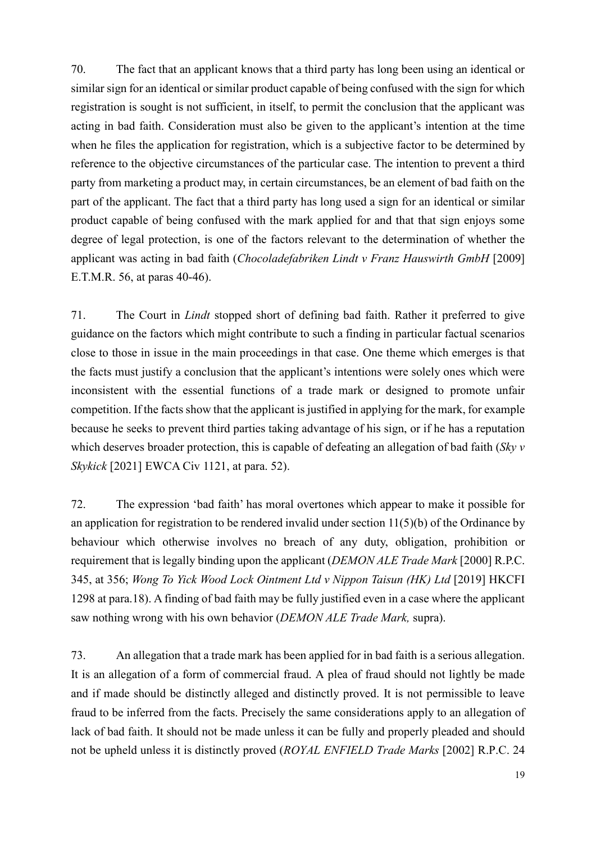70. The fact that an applicant knows that a third party has long been using an identical or similar sign for an identical or similar product capable of being confused with the sign for which registration is sought is not sufficient, in itself, to permit the conclusion that the applicant was acting in bad faith. Consideration must also be given to the applicant's intention at the time when he files the application for registration, which is a subjective factor to be determined by reference to the objective circumstances of the particular case. The intention to prevent a third party from marketing a product may, in certain circumstances, be an element of bad faith on the part of the applicant. The fact that a third party has long used a sign for an identical or similar product capable of being confused with the mark applied for and that that sign enjoys some degree of legal protection, is one of the factors relevant to the determination of whether the applicant was acting in bad faith (*Chocoladefabriken Lindt v Franz Hauswirth GmbH* [2009] E.T.M.R. 56, at paras 40-46).

71. The Court in *Lindt* stopped short of defining bad faith. Rather it preferred to give guidance on the factors which might contribute to such a finding in particular factual scenarios close to those in issue in the main proceedings in that case. One theme which emerges is that the facts must justify a conclusion that the applicant's intentions were solely ones which were inconsistent with the essential functions of a trade mark or designed to promote unfair competition. If the facts show that the applicant is justified in applying for the mark, for example because he seeks to prevent third parties taking advantage of his sign, or if he has a reputation which deserves broader protection, this is capable of defeating an allegation of bad faith (*Sky v Skykick* [2021] EWCA Civ 1121, at para. 52).

72. The expression 'bad faith' has moral overtones which appear to make it possible for an application for registration to be rendered invalid under section 11(5)(b) of the Ordinance by behaviour which otherwise involves no breach of any duty, obligation, prohibition or requirement that is legally binding upon the applicant (*DEMON ALE Trade Mark* [2000] R.P.C. 345, at 356; *Wong To Yick Wood Lock Ointment Ltd v Nippon Taisun (HK) Ltd* [2019] HKCFI 1298 at para.18). A finding of bad faith may be fully justified even in a case where the applicant saw nothing wrong with his own behavior (*DEMON ALE Trade Mark,* supra).

73. An allegation that a trade mark has been applied for in bad faith is a serious allegation. It is an allegation of a form of commercial fraud. A plea of fraud should not lightly be made and if made should be distinctly alleged and distinctly proved. It is not permissible to leave fraud to be inferred from the facts. Precisely the same considerations apply to an allegation of lack of bad faith. It should not be made unless it can be fully and properly pleaded and should not be upheld unless it is distinctly proved (*ROYAL ENFIELD Trade Marks* [2002] R.P.C. 24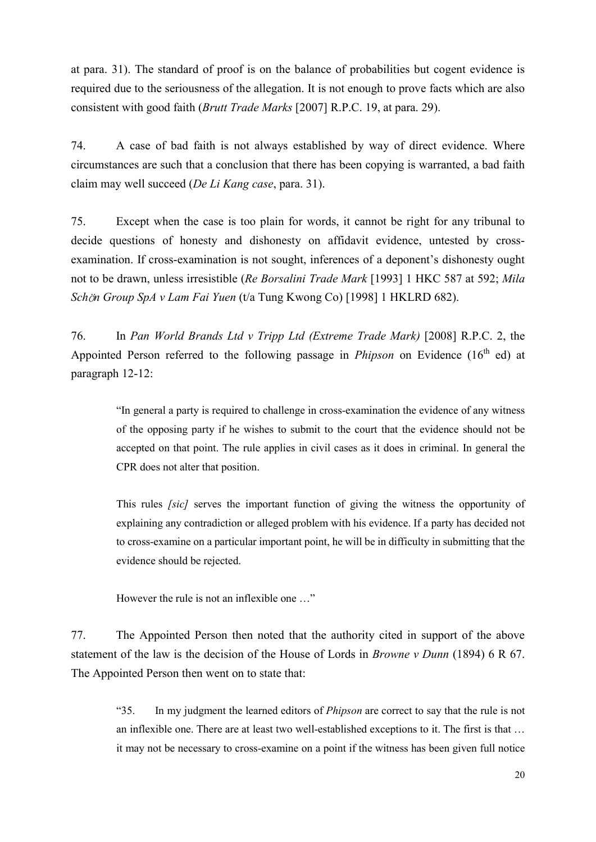at para. 31). The standard of proof is on the balance of probabilities but cogent evidence is required due to the seriousness of the allegation. It is not enough to prove facts which are also consistent with good faith (*Brutt Trade Marks* [2007] R.P.C. 19, at para. 29).

74. A case of bad faith is not always established by way of direct evidence. Where circumstances are such that a conclusion that there has been copying is warranted, a bad faith claim may well succeed (*De Li Kang case*, para. 31).

75. Except when the case is too plain for words, it cannot be right for any tribunal to decide questions of honesty and dishonesty on affidavit evidence, untested by crossexamination. If cross-examination is not sought, inferences of a deponent's dishonesty ought not to be drawn, unless irresistible (*Re Borsalini Trade Mark* [1993] 1 HKC 587 at 592; *Mila Sch*ö*n Group SpA v Lam Fai Yuen* (t/a Tung Kwong Co) [1998] 1 HKLRD 682).

76. In *Pan World Brands Ltd v Tripp Ltd (Extreme Trade Mark)* [2008] R.P.C. 2, the Appointed Person referred to the following passage in *Phipson* on Evidence (16<sup>th</sup> ed) at paragraph 12-12:

"In general a party is required to challenge in cross-examination the evidence of any witness of the opposing party if he wishes to submit to the court that the evidence should not be accepted on that point. The rule applies in civil cases as it does in criminal. In general the CPR does not alter that position.

This rules *[sic]* serves the important function of giving the witness the opportunity of explaining any contradiction or alleged problem with his evidence. If a party has decided not to cross-examine on a particular important point, he will be in difficulty in submitting that the evidence should be rejected.

However the rule is not an inflexible one …"

77. The Appointed Person then noted that the authority cited in support of the above statement of the law is the decision of the House of Lords in *Browne v Dunn* (1894) 6 R 67. The Appointed Person then went on to state that:

"35. In my judgment the learned editors of *Phipson* are correct to say that the rule is not an inflexible one. There are at least two well-established exceptions to it. The first is that … it may not be necessary to cross-examine on a point if the witness has been given full notice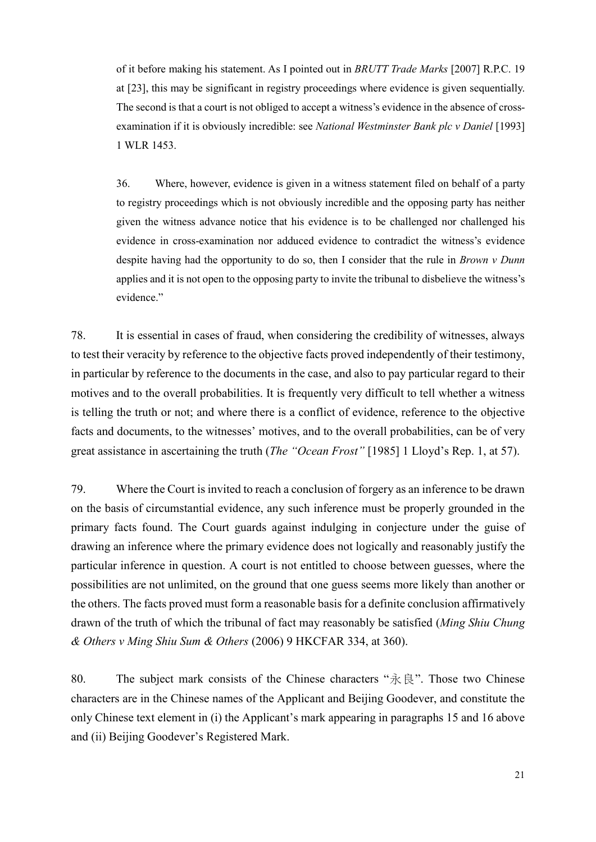of it before making his statement. As I pointed out in *BRUTT Trade Marks* [2007] R.P.C. 19 at [23], this may be significant in registry proceedings where evidence is given sequentially. The second is that a court is not obliged to accept a witness's evidence in the absence of crossexamination if it is obviously incredible: see *National Westminster Bank plc v Daniel* [1993] 1 WLR 1453.

36. Where, however, evidence is given in a witness statement filed on behalf of a party to registry proceedings which is not obviously incredible and the opposing party has neither given the witness advance notice that his evidence is to be challenged nor challenged his evidence in cross-examination nor adduced evidence to contradict the witness's evidence despite having had the opportunity to do so, then I consider that the rule in *Brown v Dunn* applies and it is not open to the opposing party to invite the tribunal to disbelieve the witness's evidence."

78. It is essential in cases of fraud, when considering the credibility of witnesses, always to test their veracity by reference to the objective facts proved independently of their testimony, in particular by reference to the documents in the case, and also to pay particular regard to their motives and to the overall probabilities. It is frequently very difficult to tell whether a witness is telling the truth or not; and where there is a conflict of evidence, reference to the objective facts and documents, to the witnesses' motives, and to the overall probabilities, can be of very great assistance in ascertaining the truth (*The "Ocean Frost"* [1985] 1 Lloyd's Rep. 1, at 57).

79. Where the Court is invited to reach a conclusion of forgery as an inference to be drawn on the basis of circumstantial evidence, any such inference must be properly grounded in the primary facts found. The Court guards against indulging in conjecture under the guise of drawing an inference where the primary evidence does not logically and reasonably justify the particular inference in question. A court is not entitled to choose between guesses, where the possibilities are not unlimited, on the ground that one guess seems more likely than another or the others. The facts proved must form a reasonable basis for a definite conclusion affirmatively drawn of the truth of which the tribunal of fact may reasonably be satisfied (*Ming Shiu Chung & Others v Ming Shiu Sum & Others* (2006) 9 HKCFAR 334, at 360).

80. The subject mark consists of the Chinese characters " $\hat{\mathcal{R}} \otimes \hat{\mathcal{R}}$ ". Those two Chinese characters are in the Chinese names of the Applicant and Beijing Goodever, and constitute the only Chinese text element in (i) the Applicant's mark appearing in paragraphs 15 and 16 above and (ii) Beijing Goodever's Registered Mark.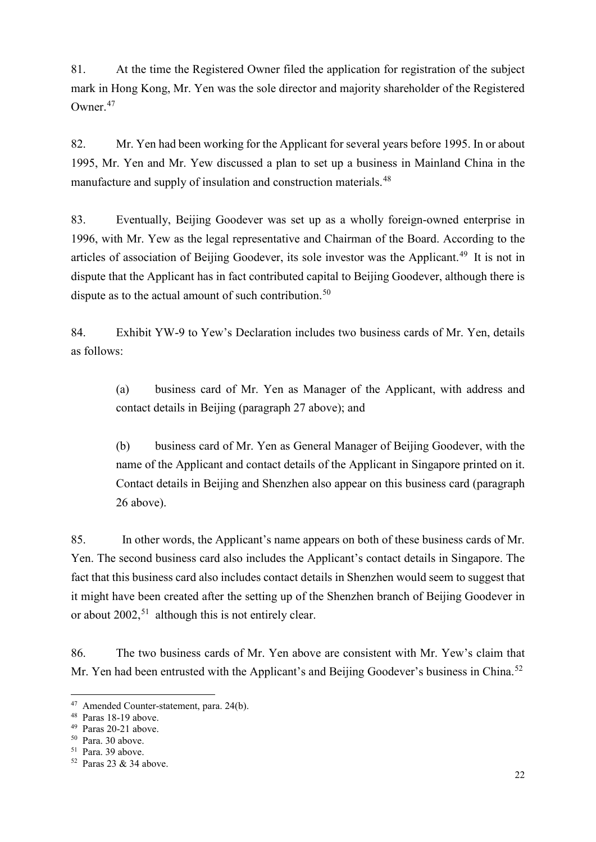81. At the time the Registered Owner filed the application for registration of the subject mark in Hong Kong, Mr. Yen was the sole director and majority shareholder of the Registered Owner.[47](#page-21-0)

82. Mr. Yen had been working for the Applicant for several years before 1995. In or about 1995, Mr. Yen and Mr. Yew discussed a plan to set up a business in Mainland China in the manufacture and supply of insulation and construction materials.<sup>[48](#page-21-1)</sup>

83. Eventually, Beijing Goodever was set up as a wholly foreign-owned enterprise in 1996, with Mr. Yew as the legal representative and Chairman of the Board. According to the articles of association of Beijing Goodever, its sole investor was the Applicant.<sup>[49](#page-21-2)</sup> It is not in dispute that the Applicant has in fact contributed capital to Beijing Goodever, although there is dispute as to the actual amount of such contribution.<sup>[50](#page-21-3)</sup>

84. Exhibit YW-9 to Yew's Declaration includes two business cards of Mr. Yen, details as follows:

(a) business card of Mr. Yen as Manager of the Applicant, with address and contact details in Beijing (paragraph 27 above); and

(b) business card of Mr. Yen as General Manager of Beijing Goodever, with the name of the Applicant and contact details of the Applicant in Singapore printed on it. Contact details in Beijing and Shenzhen also appear on this business card (paragraph 26 above).

85. In other words, the Applicant's name appears on both of these business cards of Mr. Yen. The second business card also includes the Applicant's contact details in Singapore. The fact that this business card also includes contact details in Shenzhen would seem to suggest that it might have been created after the setting up of the Shenzhen branch of Beijing Goodever in or about  $2002$ ,<sup>[51](#page-21-4)</sup> although this is not entirely clear.

86. The two business cards of Mr. Yen above are consistent with Mr. Yew's claim that Mr. Yen had been entrusted with the Applicant's and Beijing Goodever's business in China.<sup>[52](#page-21-5)</sup>

<span id="page-21-0"></span> <sup>47</sup> Amended Counter-statement, para. 24(b).

<span id="page-21-1"></span><sup>48</sup> Paras 18-19 above.

<span id="page-21-2"></span><sup>49</sup> Paras 20-21 above.

<span id="page-21-3"></span><sup>50</sup> Para. 30 above.

<span id="page-21-4"></span><sup>51</sup> Para. 39 above.

<span id="page-21-5"></span><sup>52</sup> Paras 23 & 34 above.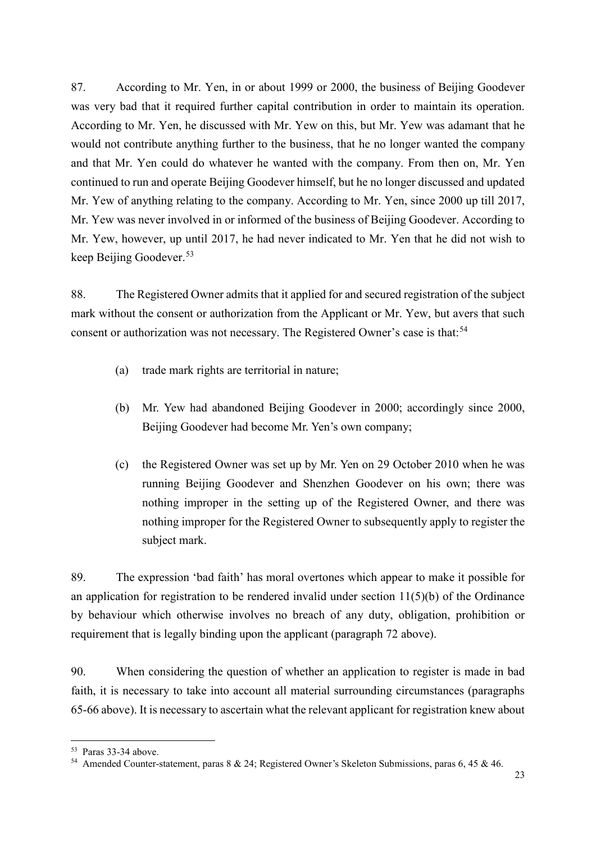87. According to Mr. Yen, in or about 1999 or 2000, the business of Beijing Goodever was very bad that it required further capital contribution in order to maintain its operation. According to Mr. Yen, he discussed with Mr. Yew on this, but Mr. Yew was adamant that he would not contribute anything further to the business, that he no longer wanted the company and that Mr. Yen could do whatever he wanted with the company. From then on, Mr. Yen continued to run and operate Beijing Goodever himself, but he no longer discussed and updated Mr. Yew of anything relating to the company. According to Mr. Yen, since 2000 up till 2017, Mr. Yew was never involved in or informed of the business of Beijing Goodever. According to Mr. Yew, however, up until 2017, he had never indicated to Mr. Yen that he did not wish to keep Beijing Goodever. [53](#page-22-0)

88. The Registered Owner admits that it applied for and secured registration of the subject mark without the consent or authorization from the Applicant or Mr. Yew, but avers that such consent or authorization was not necessary. The Registered Owner's case is that:<sup>[54](#page-22-1)</sup>

- (a) trade mark rights are territorial in nature;
- (b) Mr. Yew had abandoned Beijing Goodever in 2000; accordingly since 2000, Beijing Goodever had become Mr. Yen's own company;
- (c) the Registered Owner was set up by Mr. Yen on 29 October 2010 when he was running Beijing Goodever and Shenzhen Goodever on his own; there was nothing improper in the setting up of the Registered Owner, and there was nothing improper for the Registered Owner to subsequently apply to register the subject mark.

89. The expression 'bad faith' has moral overtones which appear to make it possible for an application for registration to be rendered invalid under section  $11(5)(b)$  of the Ordinance by behaviour which otherwise involves no breach of any duty, obligation, prohibition or requirement that is legally binding upon the applicant (paragraph 72 above).

90. When considering the question of whether an application to register is made in bad faith, it is necessary to take into account all material surrounding circumstances (paragraphs 65-66 above). It is necessary to ascertain what the relevant applicant for registration knew about

<span id="page-22-0"></span> <sup>53</sup> Paras 33-34 above.

<span id="page-22-1"></span><sup>54</sup> Amended Counter-statement, paras 8 & 24; Registered Owner's Skeleton Submissions, paras 6, 45 & 46.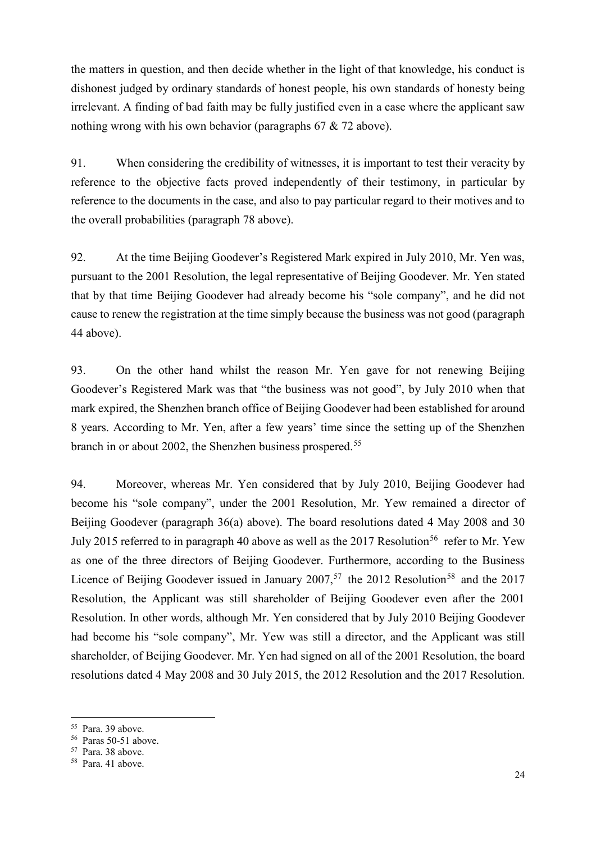the matters in question, and then decide whether in the light of that knowledge, his conduct is dishonest judged by ordinary standards of honest people, his own standards of honesty being irrelevant. A finding of bad faith may be fully justified even in a case where the applicant saw nothing wrong with his own behavior (paragraphs 67 & 72 above).

91. When considering the credibility of witnesses, it is important to test their veracity by reference to the objective facts proved independently of their testimony, in particular by reference to the documents in the case, and also to pay particular regard to their motives and to the overall probabilities (paragraph 78 above).

92. At the time Beijing Goodever's Registered Mark expired in July 2010, Mr. Yen was, pursuant to the 2001 Resolution, the legal representative of Beijing Goodever. Mr. Yen stated that by that time Beijing Goodever had already become his "sole company", and he did not cause to renew the registration at the time simply because the business was not good (paragraph 44 above).

93. On the other hand whilst the reason Mr. Yen gave for not renewing Beijing Goodever's Registered Mark was that "the business was not good", by July 2010 when that mark expired, the Shenzhen branch office of Beijing Goodever had been established for around 8 years. According to Mr. Yen, after a few years' time since the setting up of the Shenzhen branch in or about 2002, the Shenzhen business prospered.<sup>[55](#page-23-0)</sup>

94. Moreover, whereas Mr. Yen considered that by July 2010, Beijing Goodever had become his "sole company", under the 2001 Resolution, Mr. Yew remained a director of Beijing Goodever (paragraph 36(a) above). The board resolutions dated 4 May 2008 and 30 July 2015 referred to in paragraph 40 above as well as the 2017 Resolution<sup>[56](#page-23-1)</sup> refer to Mr. Yew as one of the three directors of Beijing Goodever. Furthermore, according to the Business Licence of Beijing Goodever issued in January  $2007$ ,<sup>[57](#page-23-2)</sup> the 2012 Resolution<sup>[58](#page-23-3)</sup> and the 2017 Resolution, the Applicant was still shareholder of Beijing Goodever even after the 2001 Resolution. In other words, although Mr. Yen considered that by July 2010 Beijing Goodever had become his "sole company", Mr. Yew was still a director, and the Applicant was still shareholder, of Beijing Goodever. Mr. Yen had signed on all of the 2001 Resolution, the board resolutions dated 4 May 2008 and 30 July 2015, the 2012 Resolution and the 2017 Resolution.

<span id="page-23-0"></span> <sup>55</sup> Para. 39 above.

<span id="page-23-1"></span><sup>56</sup> Paras 50-51 above.

<span id="page-23-2"></span><sup>57</sup> Para. 38 above.

<span id="page-23-3"></span><sup>58</sup> Para. 41 above.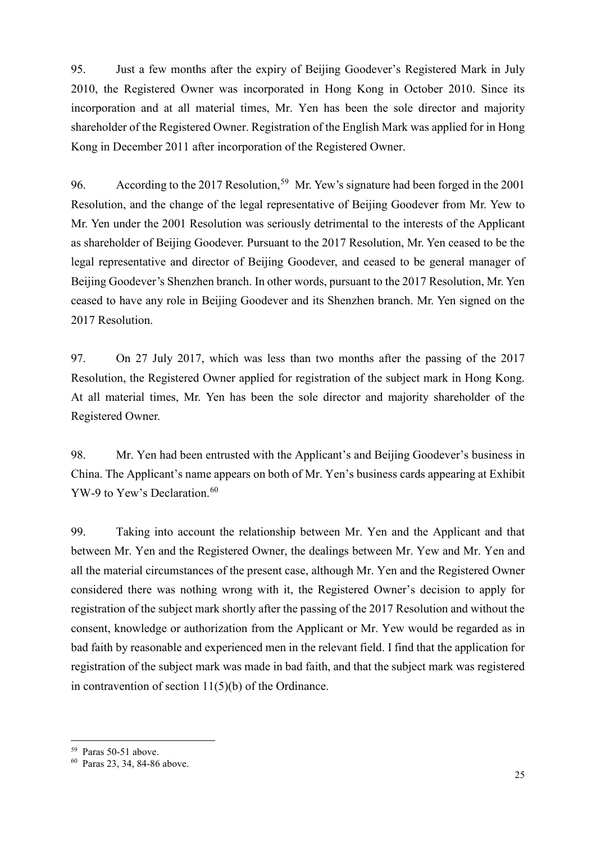95. Just a few months after the expiry of Beijing Goodever's Registered Mark in July 2010, the Registered Owner was incorporated in Hong Kong in October 2010. Since its incorporation and at all material times, Mr. Yen has been the sole director and majority shareholder of the Registered Owner. Registration of the English Mark was applied for in Hong Kong in December 2011 after incorporation of the Registered Owner.

96. According to the 2017 Resolution,<sup>[59](#page-24-0)</sup> Mr. Yew's signature had been forged in the 2001 Resolution, and the change of the legal representative of Beijing Goodever from Mr. Yew to Mr. Yen under the 2001 Resolution was seriously detrimental to the interests of the Applicant as shareholder of Beijing Goodever. Pursuant to the 2017 Resolution, Mr. Yen ceased to be the legal representative and director of Beijing Goodever, and ceased to be general manager of Beijing Goodever's Shenzhen branch. In other words, pursuant to the 2017 Resolution, Mr. Yen ceased to have any role in Beijing Goodever and its Shenzhen branch. Mr. Yen signed on the 2017 Resolution.

97. On 27 July 2017, which was less than two months after the passing of the 2017 Resolution, the Registered Owner applied for registration of the subject mark in Hong Kong. At all material times, Mr. Yen has been the sole director and majority shareholder of the Registered Owner.

98. Mr. Yen had been entrusted with the Applicant's and Beijing Goodever's business in China. The Applicant's name appears on both of Mr. Yen's business cards appearing at Exhibit YW-9 to Yew's Declaration.<sup>[60](#page-24-1)</sup>

99. Taking into account the relationship between Mr. Yen and the Applicant and that between Mr. Yen and the Registered Owner, the dealings between Mr. Yew and Mr. Yen and all the material circumstances of the present case, although Mr. Yen and the Registered Owner considered there was nothing wrong with it, the Registered Owner's decision to apply for registration of the subject mark shortly after the passing of the 2017 Resolution and without the consent, knowledge or authorization from the Applicant or Mr. Yew would be regarded as in bad faith by reasonable and experienced men in the relevant field. I find that the application for registration of the subject mark was made in bad faith, and that the subject mark was registered in contravention of section 11(5)(b) of the Ordinance.

<span id="page-24-0"></span> <sup>59</sup> Paras 50-51 above.

<span id="page-24-1"></span><sup>60</sup> Paras 23, 34, 84-86 above.